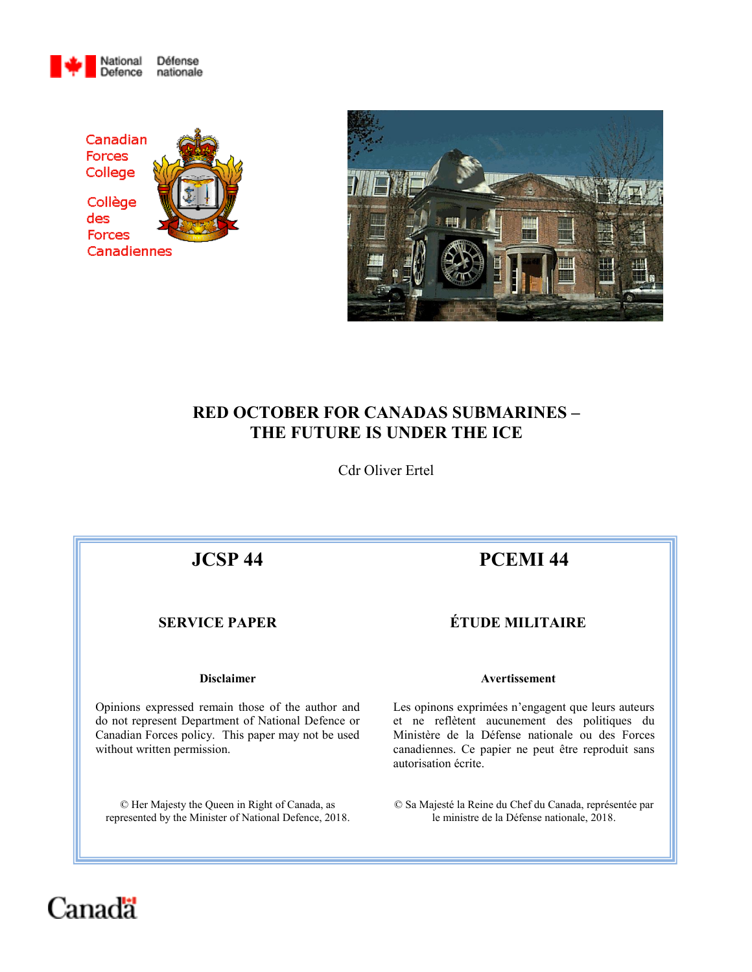





# **RED OCTOBER FOR CANADAS SUBMARINES – THE FUTURE IS UNDER THE ICE**

Cdr Oliver Ertel

Opinions expressed remain those of the author and do not represent Department of National Defence or Canadian Forces policy. This paper may not be used without written permission.

© Her Majesty the Queen in Right of Canada, as represented by the Minister of National Defence, 2018.

# **JCSP 44 PCEMI 44**

# **SERVICE PAPER ÉTUDE MILITAIRE**

#### **Disclaimer Avertissement**

Les opinons exprimées n'engagent que leurs auteurs et ne reflètent aucunement des politiques du Ministère de la Défense nationale ou des Forces canadiennes. Ce papier ne peut être reproduit sans autorisation écrite.

© Sa Majesté la Reine du Chef du Canada, représentée par le ministre de la Défense nationale, 2018.

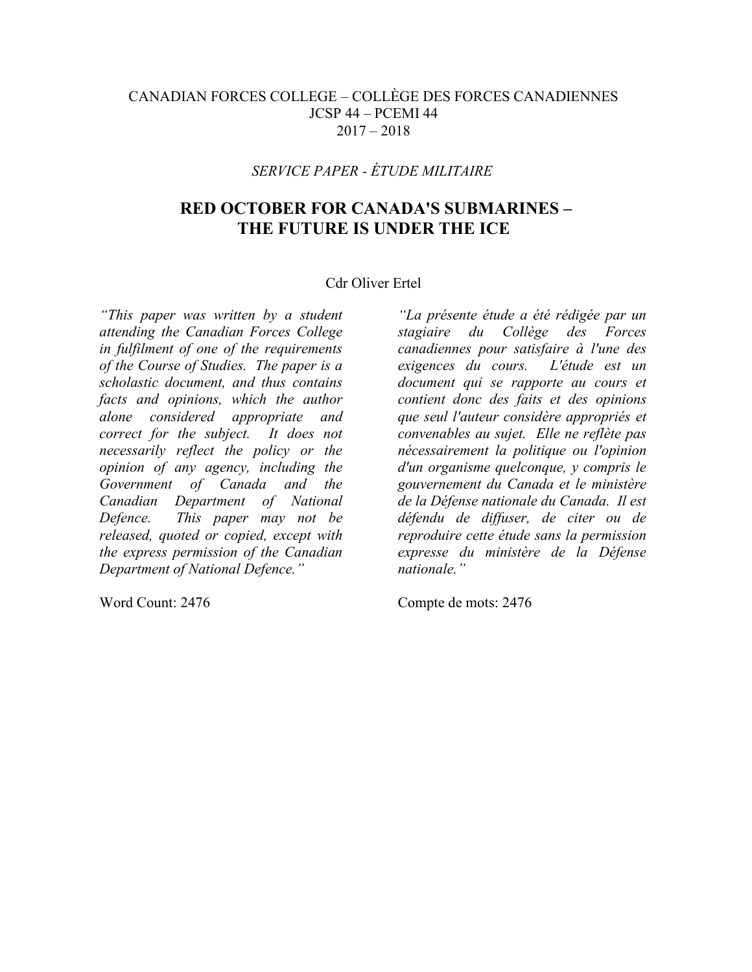# CANADIAN FORCES COLLEGE – COLLÈGE DES FORCES CANADIENNES JCSP 44 – PCEMI 44  $2017 - 2018$

# *SERVICE PAPER - ÉTUDE MILITAIRE*

# **RED OCTOBER FOR CANADA'S SUBMARINES – THE FUTURE IS UNDER THE ICE**

### Cdr Oliver Ertel

*"This paper was written by a student attending the Canadian Forces College in fulfilment of one of the requirements of the Course of Studies. The paper is a scholastic document, and thus contains facts and opinions, which the author alone considered appropriate and correct for the subject. It does not necessarily reflect the policy or the opinion of any agency, including the Government of Canada and the Canadian Department of National Defence. This paper may not be released, quoted or copied, except with the express permission of the Canadian Department of National Defence."*

*"La présente étude a été rédigée par un stagiaire du Collège des Forces canadiennes pour satisfaire à l'une des exigences du cours. L'étude est un document qui se rapporte au cours et contient donc des faits et des opinions que seul l'auteur considère appropriés et convenables au sujet. Elle ne reflète pas nécessairement la politique ou l'opinion d'un organisme quelconque, y compris le gouvernement du Canada et le ministère de la Défense nationale du Canada. Il est défendu de diffuser, de citer ou de reproduire cette étude sans la permission expresse du ministère de la Défense nationale."*

Word Count: 2476 Compte de mots: 2476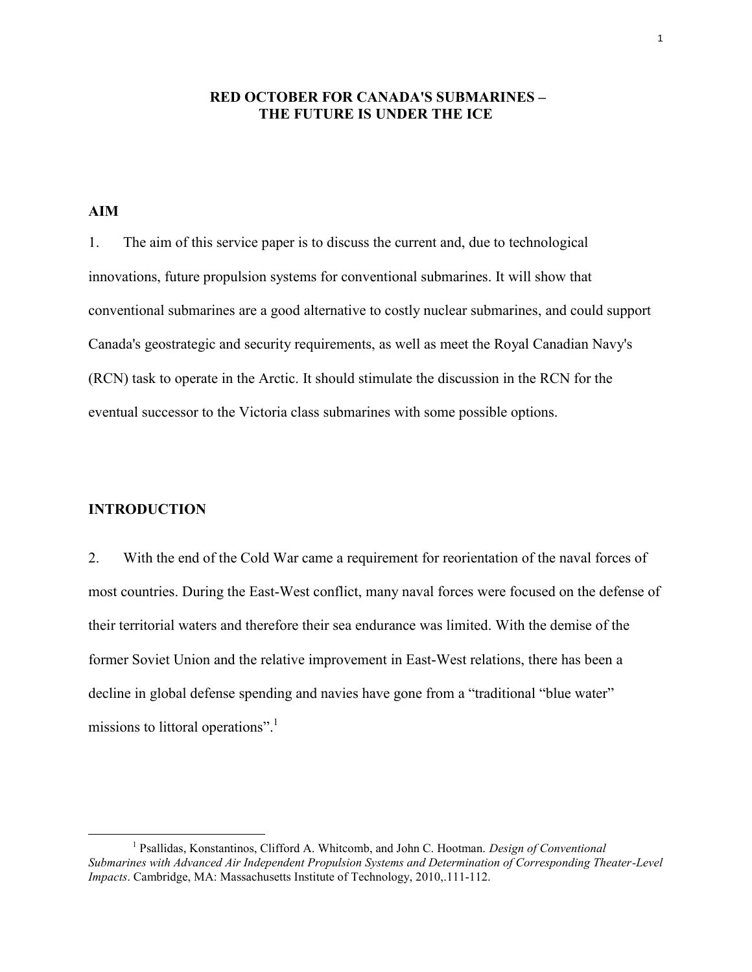### **RED OCTOBER FOR CANADA'S SUBMARINES – THE FUTURE IS UNDER THE ICE**

### **AIM**

1. The aim of this service paper is to discuss the current and, due to technological innovations, future propulsion systems for conventional submarines. It will show that conventional submarines are a good alternative to costly nuclear submarines, and could support Canada's geostrategic and security requirements, as well as meet the Royal Canadian Navy's (RCN) task to operate in the Arctic. It should stimulate the discussion in the RCN for the eventual successor to the Victoria class submarines with some possible options.

#### **INTRODUCTION**

 $\overline{a}$ 

2. With the end of the Cold War came a requirement for reorientation of the naval forces of most countries. During the East-West conflict, many naval forces were focused on the defense of their territorial waters and therefore their sea endurance was limited. With the demise of the former Soviet Union and the relative improvement in East-West relations, there has been a decline in global defense spending and navies have gone from a "traditional "blue water" missions to littoral operations".

<sup>&</sup>lt;sup>1</sup> Psallidas, Konstantinos, Clifford A. Whitcomb, and John C. Hootman. *Design of Conventional Submarines with Advanced Air Independent Propulsion Systems and Determination of Corresponding Theater-Level Impacts*. Cambridge, MA: Massachusetts Institute of Technology, 2010,.111-112.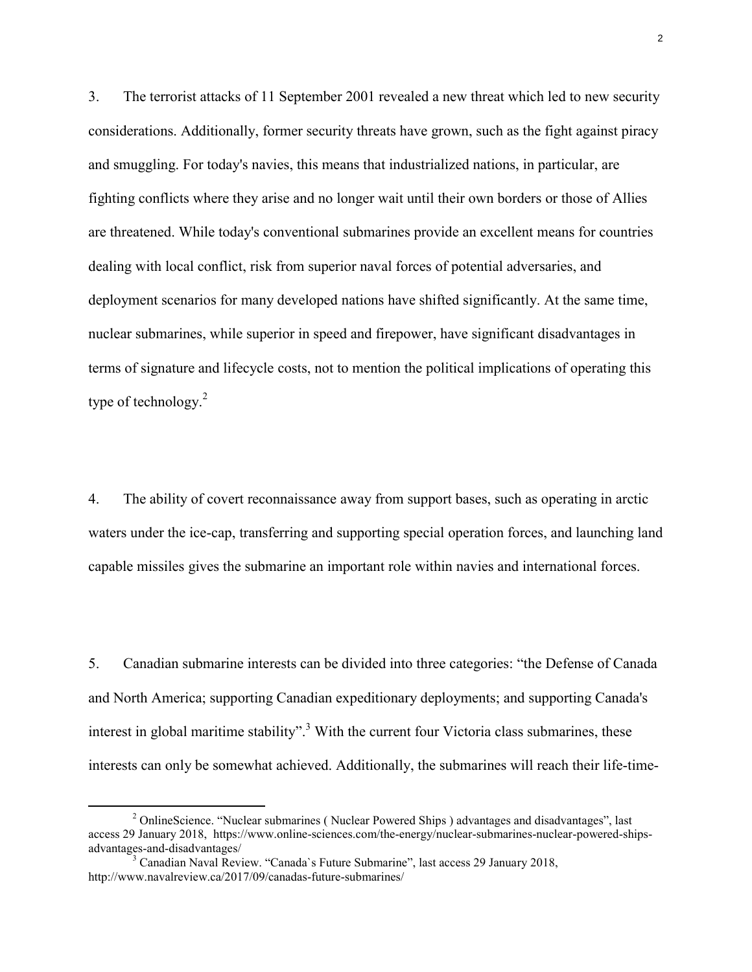3. The terrorist attacks of 11 September 2001 revealed a new threat which led to new security considerations. Additionally, former security threats have grown, such as the fight against piracy and smuggling. For today's navies, this means that industrialized nations, in particular, are fighting conflicts where they arise and no longer wait until their own borders or those of Allies are threatened. While today's conventional submarines provide an excellent means for countries dealing with local conflict, risk from superior naval forces of potential adversaries, and deployment scenarios for many developed nations have shifted significantly. At the same time, nuclear submarines, while superior in speed and firepower, have significant disadvantages in terms of signature and lifecycle costs, not to mention the political implications of operating this type of technology.<sup>2</sup>

4. The ability of covert reconnaissance away from support bases, such as operating in arctic waters under the ice-cap, transferring and supporting special operation forces, and launching land capable missiles gives the submarine an important role within navies and international forces.

5. Canadian submarine interests can be divided into three categories: "the Defense of Canada and North America; supporting Canadian expeditionary deployments; and supporting Canada's interest in global maritime stability".<sup>3</sup> With the current four Victoria class submarines, these interests can only be somewhat achieved. Additionally, the submarines will reach their life-time-

<sup>&</sup>lt;sup>2</sup> OnlineScience. "Nuclear submarines ( Nuclear Powered Ships ) advantages and disadvantages". last access 29 January 2018, https://www.online-sciences.com/the-energy/nuclear-submarines-nuclear-powered-shipsadvantages-and-disadvantages/

<sup>&</sup>lt;sup>3</sup> Canadian Naval Review. "Canada's Future Submarine", last access 29 January 2018, http://www.navalreview.ca/2017/09/canadas-future-submarines/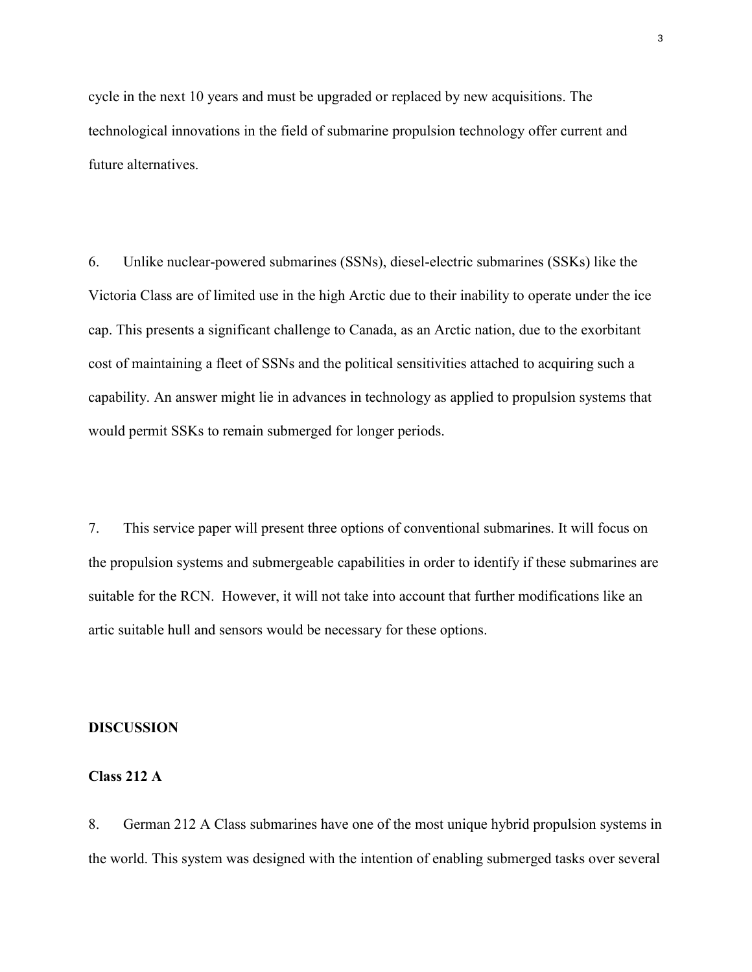cycle in the next 10 years and must be upgraded or replaced by new acquisitions. The technological innovations in the field of submarine propulsion technology offer current and future alternatives.

6. Unlike nuclear-powered submarines (SSNs), diesel-electric submarines (SSKs) like the Victoria Class are of limited use in the high Arctic due to their inability to operate under the ice cap. This presents a significant challenge to Canada, as an Arctic nation, due to the exorbitant cost of maintaining a fleet of SSNs and the political sensitivities attached to acquiring such a capability. An answer might lie in advances in technology as applied to propulsion systems that would permit SSKs to remain submerged for longer periods.

7. This service paper will present three options of conventional submarines. It will focus on the propulsion systems and submergeable capabilities in order to identify if these submarines are suitable for the RCN. However, it will not take into account that further modifications like an artic suitable hull and sensors would be necessary for these options.

#### **DISCUSSION**

#### **Class 212 A**

8. German 212 A Class submarines have one of the most unique hybrid propulsion systems in the world. This system was designed with the intention of enabling submerged tasks over several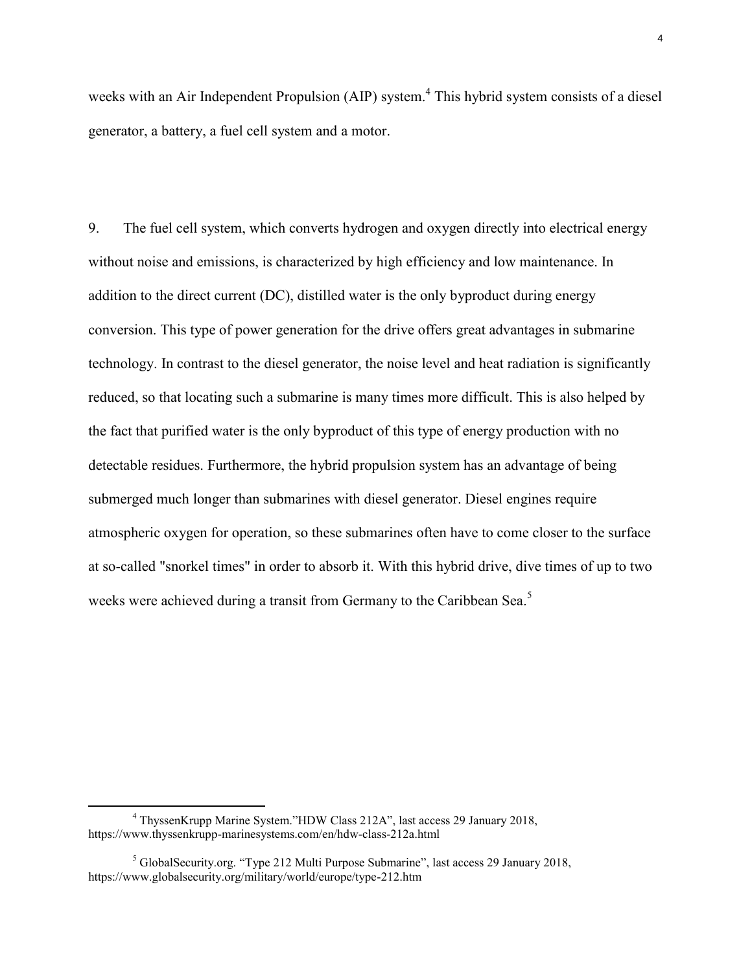weeks with an Air Independent Propulsion (AIP) system.<sup>4</sup> This hybrid system consists of a diesel generator, a battery, a fuel cell system and a motor.

9. The fuel cell system, which converts hydrogen and oxygen directly into electrical energy without noise and emissions, is characterized by high efficiency and low maintenance. In addition to the direct current (DC), distilled water is the only byproduct during energy conversion. This type of power generation for the drive offers great advantages in submarine technology. In contrast to the diesel generator, the noise level and heat radiation is significantly reduced, so that locating such a submarine is many times more difficult. This is also helped by the fact that purified water is the only byproduct of this type of energy production with no detectable residues. Furthermore, the hybrid propulsion system has an advantage of being submerged much longer than submarines with diesel generator. Diesel engines require atmospheric oxygen for operation, so these submarines often have to come closer to the surface at so-called "snorkel times" in order to absorb it. With this hybrid drive, dive times of up to two weeks were achieved during a transit from Germany to the Caribbean Sea.<sup>5</sup>

<sup>4</sup> ThyssenKrupp Marine System."HDW Class 212A", last access 29 January 2018, https://www.thyssenkrupp-marinesystems.com/en/hdw-class-212a.html

<sup>&</sup>lt;sup>5</sup> GlobalSecurity.org. "Type 212 Multi Purpose Submarine", last access 29 January 2018, https://www.globalsecurity.org/military/world/europe/type-212.htm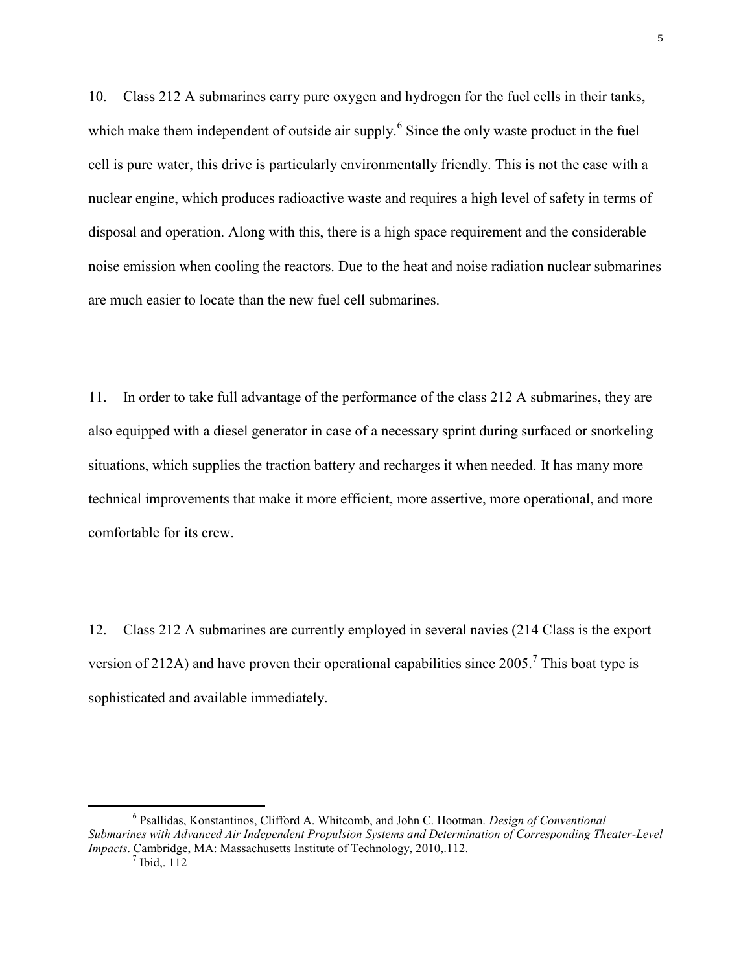10. Class 212 A submarines carry pure oxygen and hydrogen for the fuel cells in their tanks, which make them independent of outside air supply.<sup>6</sup> Since the only waste product in the fuel cell is pure water, this drive is particularly environmentally friendly. This is not the case with a nuclear engine, which produces radioactive waste and requires a high level of safety in terms of disposal and operation. Along with this, there is a high space requirement and the considerable noise emission when cooling the reactors. Due to the heat and noise radiation nuclear submarines are much easier to locate than the new fuel cell submarines.

11. In order to take full advantage of the performance of the class 212 A submarines, they are also equipped with a diesel generator in case of a necessary sprint during surfaced or snorkeling situations, which supplies the traction battery and recharges it when needed. It has many more technical improvements that make it more efficient, more assertive, more operational, and more comfortable for its crew.

12. Class 212 A submarines are currently employed in several navies (214 Class is the export version of 212A) and have proven their operational capabilities since  $2005$ .<sup>7</sup> This boat type is sophisticated and available immediately.

<sup>6</sup> Psallidas, Konstantinos, Clifford A. Whitcomb, and John C. Hootman. *Design of Conventional Submarines with Advanced Air Independent Propulsion Systems and Determination of Corresponding Theater-Level Impacts*. Cambridge, MA: Massachusetts Institute of Technology, 2010, 112.<br><sup>7</sup> Ibid,. 112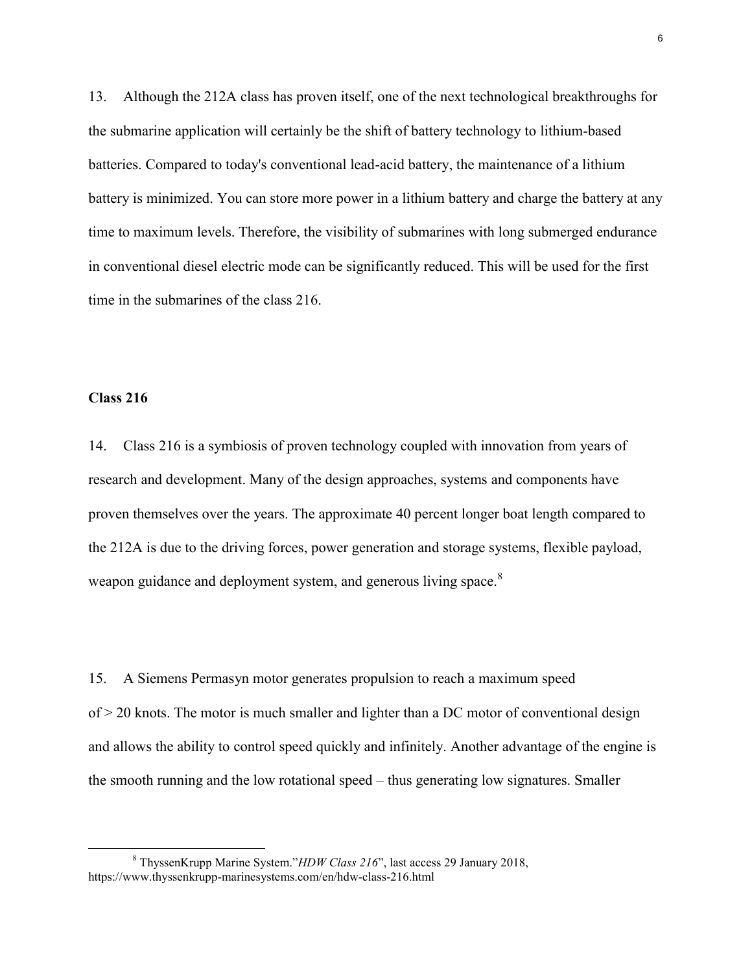13. Although the 212A class has proven itself, one of the next technological breakthroughs for the submarine application will certainly be the shift of battery technology to lithium-based batteries. Compared to today's conventional lead-acid battery, the maintenance of a lithium battery is minimized. You can store more power in a lithium battery and charge the battery at any time to maximum levels. Therefore, the visibility of submarines with long submerged endurance in conventional diesel electric mode can be significantly reduced. This will be used for the first time in the submarines of the class 216.

#### **Class 216**

 $\overline{a}$ 

14. Class 216 is a symbiosis of proven technology coupled with innovation from years of research and development. Many of the design approaches, systems and components have proven themselves over the years. The approximate 40 percent longer boat length compared to the 212A is due to the driving forces, power generation and storage systems, flexible payload, weapon guidance and deployment system, and generous living space.<sup>8</sup>

15. A Siemens Permasyn motor generates propulsion to reach a maximum speed of > 20 knots. The motor is much smaller and lighter than a DC motor of conventional design and allows the ability to control speed quickly and infinitely. Another advantage of the engine is the smooth running and the low rotational speed – thus generating low signatures. Smaller

<sup>8</sup> ThyssenKrupp Marine System."*HDW Class 216*", last access 29 January 2018, https://www.thyssenkrupp-marinesystems.com/en/hdw-class-216.html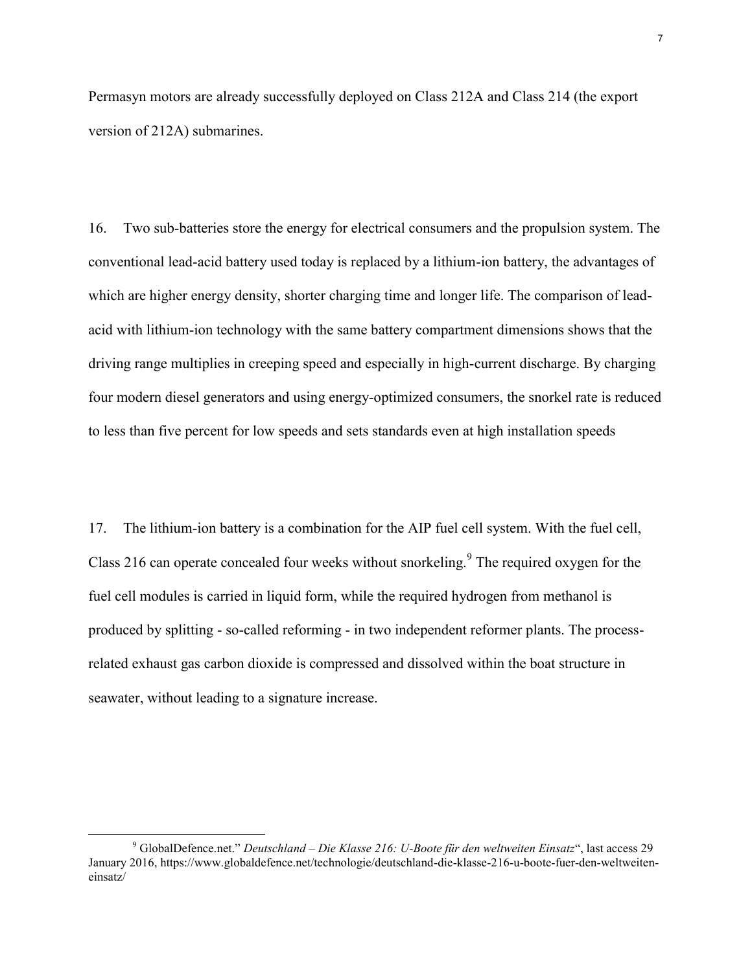Permasyn motors are already successfully deployed on Class 212A and Class 214 (the export version of 212A) submarines.

16. Two sub-batteries store the energy for electrical consumers and the propulsion system. The conventional lead-acid battery used today is replaced by a lithium-ion battery, the advantages of which are higher energy density, shorter charging time and longer life. The comparison of leadacid with lithium-ion technology with the same battery compartment dimensions shows that the driving range multiplies in creeping speed and especially in high-current discharge. By charging four modern diesel generators and using energy-optimized consumers, the snorkel rate is reduced to less than five percent for low speeds and sets standards even at high installation speeds

17. The lithium-ion battery is a combination for the AIP fuel cell system. With the fuel cell, Class 216 can operate concealed four weeks without snorkeling.<sup>9</sup> The required oxygen for the fuel cell modules is carried in liquid form, while the required hydrogen from methanol is produced by splitting - so-called reforming - in two independent reformer plants. The processrelated exhaust gas carbon dioxide is compressed and dissolved within the boat structure in seawater, without leading to a signature increase.

<sup>9</sup> GlobalDefence.net." *Deutschland – Die Klasse 216: U-Boote für den weltweiten Einsatz*", last access 29 January 2016, https://www.globaldefence.net/technologie/deutschland-die-klasse-216-u-boote-fuer-den-weltweiteneinsatz/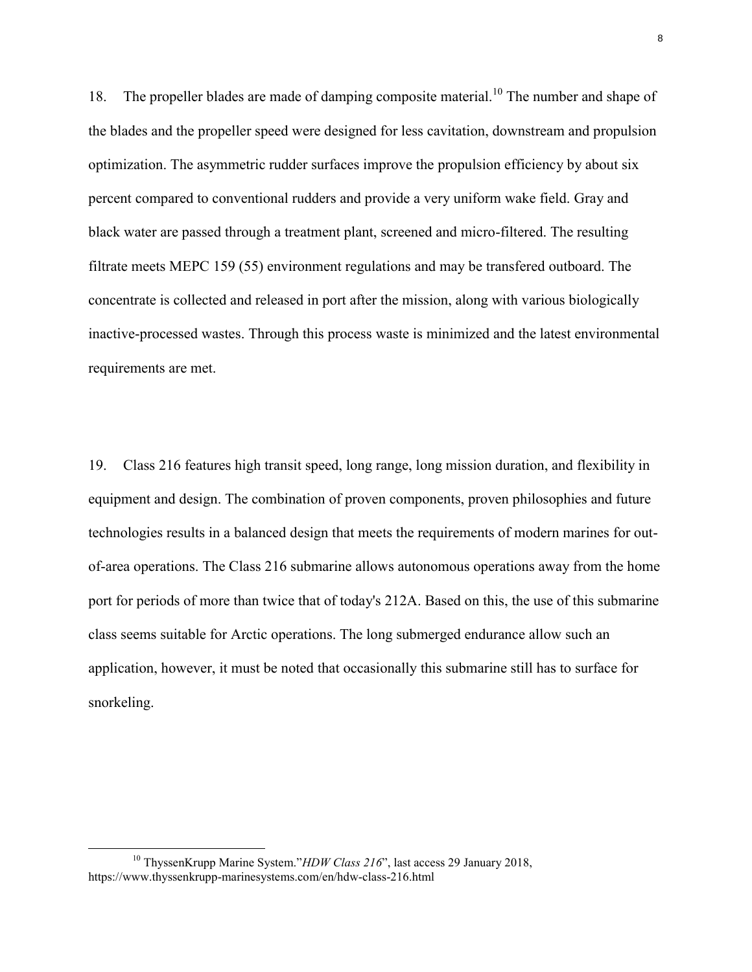18. The propeller blades are made of damping composite material.<sup>10</sup> The number and shape of the blades and the propeller speed were designed for less cavitation, downstream and propulsion optimization. The asymmetric rudder surfaces improve the propulsion efficiency by about six percent compared to conventional rudders and provide a very uniform wake field. Gray and black water are passed through a treatment plant, screened and micro-filtered. The resulting filtrate meets MEPC 159 (55) environment regulations and may be transfered outboard. The concentrate is collected and released in port after the mission, along with various biologically inactive-processed wastes. Through this process waste is minimized and the latest environmental requirements are met.

19. Class 216 features high transit speed, long range, long mission duration, and flexibility in equipment and design. The combination of proven components, proven philosophies and future technologies results in a balanced design that meets the requirements of modern marines for outof-area operations. The Class 216 submarine allows autonomous operations away from the home port for periods of more than twice that of today's 212A. Based on this, the use of this submarine class seems suitable for Arctic operations. The long submerged endurance allow such an application, however, it must be noted that occasionally this submarine still has to surface for snorkeling.

<sup>10</sup> ThyssenKrupp Marine System."*HDW Class 216*", last access 29 January 2018, https://www.thyssenkrupp-marinesystems.com/en/hdw-class-216.html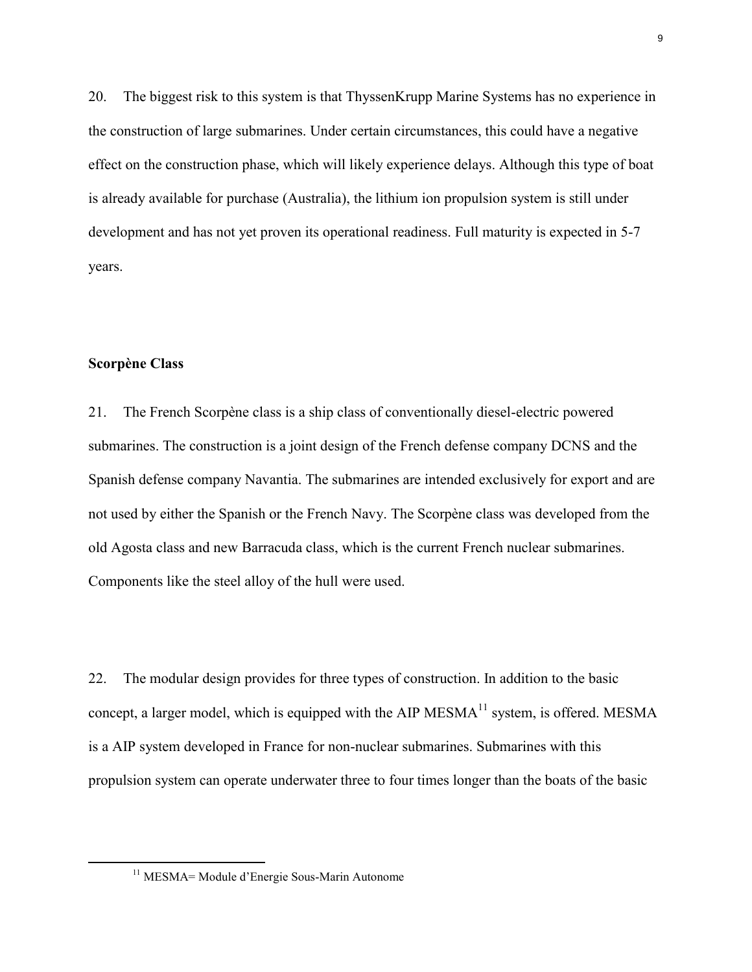20. The biggest risk to this system is that ThyssenKrupp Marine Systems has no experience in the construction of large submarines. Under certain circumstances, this could have a negative effect on the construction phase, which will likely experience delays. Although this type of boat is already available for purchase (Australia), the lithium ion propulsion system is still under development and has not yet proven its operational readiness. Full maturity is expected in 5-7 years.

### **Scorpène Class**

 $\overline{a}$ 

21. The French Scorpène class is a ship class of conventionally diesel-electric powered submarines. The construction is a joint design of the French defense company DCNS and the Spanish defense company Navantia. The submarines are intended exclusively for export and are not used by either the Spanish or the French Navy. The Scorpène class was developed from the old Agosta class and new Barracuda class, which is the current French nuclear submarines. Components like the steel alloy of the hull were used.

22. The modular design provides for three types of construction. In addition to the basic concept, a larger model, which is equipped with the AIP MESMA<sup>11</sup> system, is offered. MESMA is a AIP system developed in France for non-nuclear submarines. Submarines with this propulsion system can operate underwater three to four times longer than the boats of the basic

<sup>&</sup>lt;sup>11</sup> MESMA= Module d'Energie Sous-Marin Autonome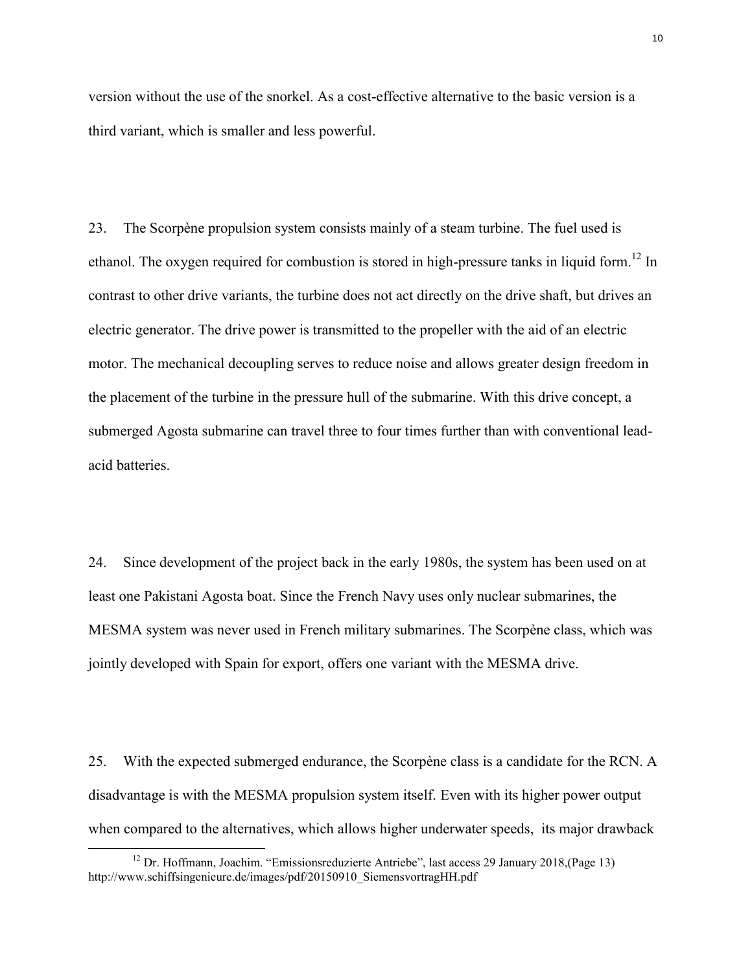version without the use of the snorkel. As a cost-effective alternative to the basic version is a third variant, which is smaller and less powerful.

23. The Scorpène propulsion system consists mainly of a steam turbine. The fuel used is ethanol. The oxygen required for combustion is stored in high-pressure tanks in liquid form.<sup>12</sup> In contrast to other drive variants, the turbine does not act directly on the drive shaft, but drives an electric generator. The drive power is transmitted to the propeller with the aid of an electric motor. The mechanical decoupling serves to reduce noise and allows greater design freedom in the placement of the turbine in the pressure hull of the submarine. With this drive concept, a submerged Agosta submarine can travel three to four times further than with conventional leadacid batteries.

24. Since development of the project back in the early 1980s, the system has been used on at least one Pakistani Agosta boat. Since the French Navy uses only nuclear submarines, the MESMA system was never used in French military submarines. The Scorpène class, which was jointly developed with Spain for export, offers one variant with the MESMA drive.

25. With the expected submerged endurance, the Scorpène class is a candidate for the RCN. A disadvantage is with the MESMA propulsion system itself. Even with its higher power output when compared to the alternatives, which allows higher underwater speeds, its major drawback

<sup>&</sup>lt;sup>12</sup> Dr. Hoffmann, Joachim. "Emissionsreduzierte Antriebe", last access 29 January 2018, (Page 13) http://www.schiffsingenieure.de/images/pdf/20150910\_SiemensvortragHH.pdf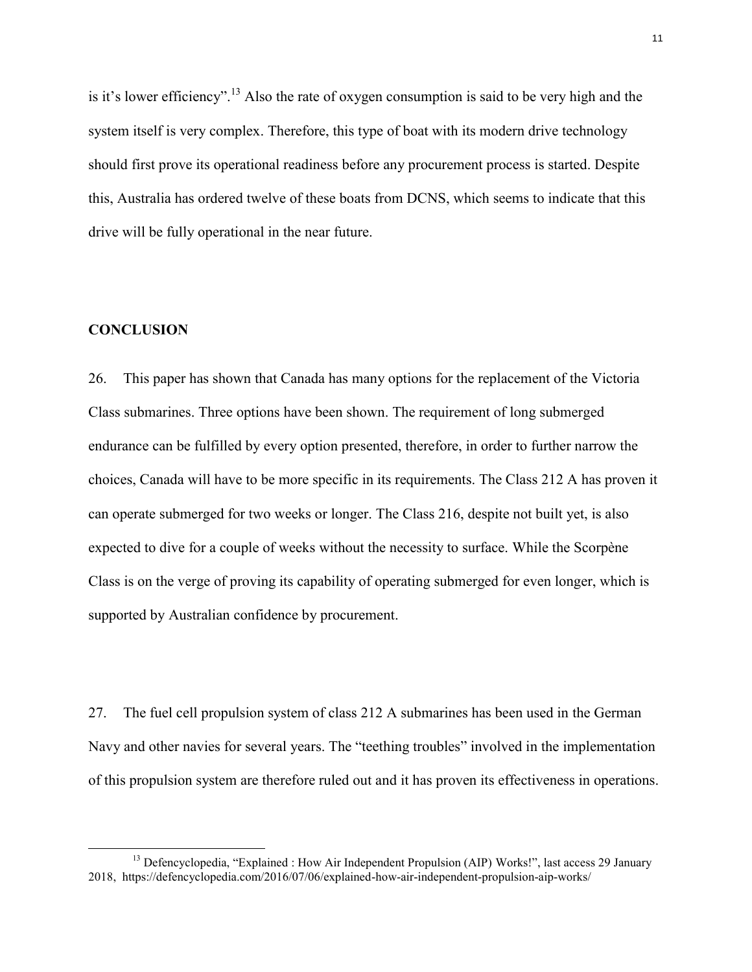is it's lower efficiency".<sup>13</sup> Also the rate of oxygen consumption is said to be very high and the system itself is very complex. Therefore, this type of boat with its modern drive technology should first prove its operational readiness before any procurement process is started. Despite this, Australia has ordered twelve of these boats from DCNS, which seems to indicate that this drive will be fully operational in the near future.

#### **CONCLUSION**

 $\overline{a}$ 

26. This paper has shown that Canada has many options for the replacement of the Victoria Class submarines. Three options have been shown. The requirement of long submerged endurance can be fulfilled by every option presented, therefore, in order to further narrow the choices, Canada will have to be more specific in its requirements. The Class 212 A has proven it can operate submerged for two weeks or longer. The Class 216, despite not built yet, is also expected to dive for a couple of weeks without the necessity to surface. While the Scorpène Class is on the verge of proving its capability of operating submerged for even longer, which is supported by Australian confidence by procurement.

27. The fuel cell propulsion system of class 212 A submarines has been used in the German Navy and other navies for several years. The "teething troubles" involved in the implementation of this propulsion system are therefore ruled out and it has proven its effectiveness in operations.

<sup>&</sup>lt;sup>13</sup> Defencyclopedia, "Explained : How Air Independent Propulsion (AIP) Works!", last access 29 January 2018, https://defencyclopedia.com/2016/07/06/explained-how-air-independent-propulsion-aip-works/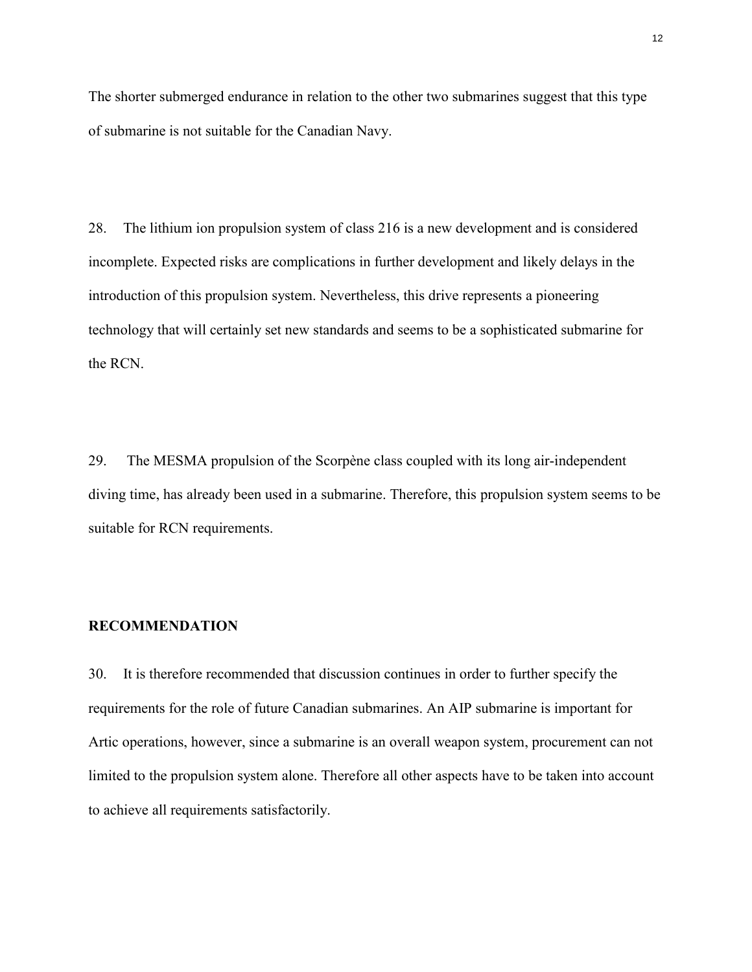The shorter submerged endurance in relation to the other two submarines suggest that this type of submarine is not suitable for the Canadian Navy.

28. The lithium ion propulsion system of class 216 is a new development and is considered incomplete. Expected risks are complications in further development and likely delays in the introduction of this propulsion system. Nevertheless, this drive represents a pioneering technology that will certainly set new standards and seems to be a sophisticated submarine for the RCN.

29. The MESMA propulsion of the Scorpène class coupled with its long air-independent diving time, has already been used in a submarine. Therefore, this propulsion system seems to be suitable for RCN requirements.

#### **RECOMMENDATION**

30. It is therefore recommended that discussion continues in order to further specify the requirements for the role of future Canadian submarines. An AIP submarine is important for Artic operations, however, since a submarine is an overall weapon system, procurement can not limited to the propulsion system alone. Therefore all other aspects have to be taken into account to achieve all requirements satisfactorily.